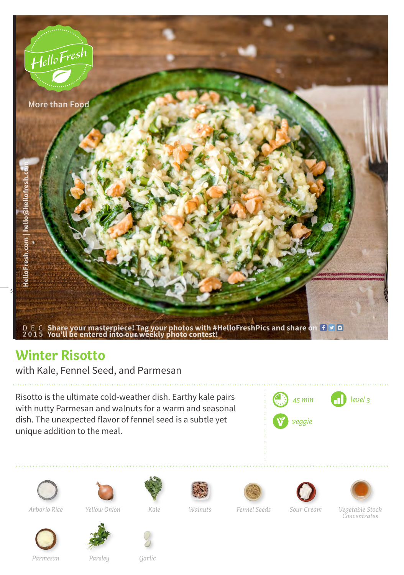

## **Winter Risotto**

with Kale, Fennel Seed, and Parmesan

Risotto is the ultimate cold-weather dish. Earthy kale pairs with nutty Parmesan and walnuts for a warm and seasonal dish. The unexpected flavor of fennel seed is a subtle yet unique addition to the meal.



















*Arborio Rice Yellow Onion Kale Walnuts Fennel Seeds Sour Cream*

*Vegetable Stock Concentrates*